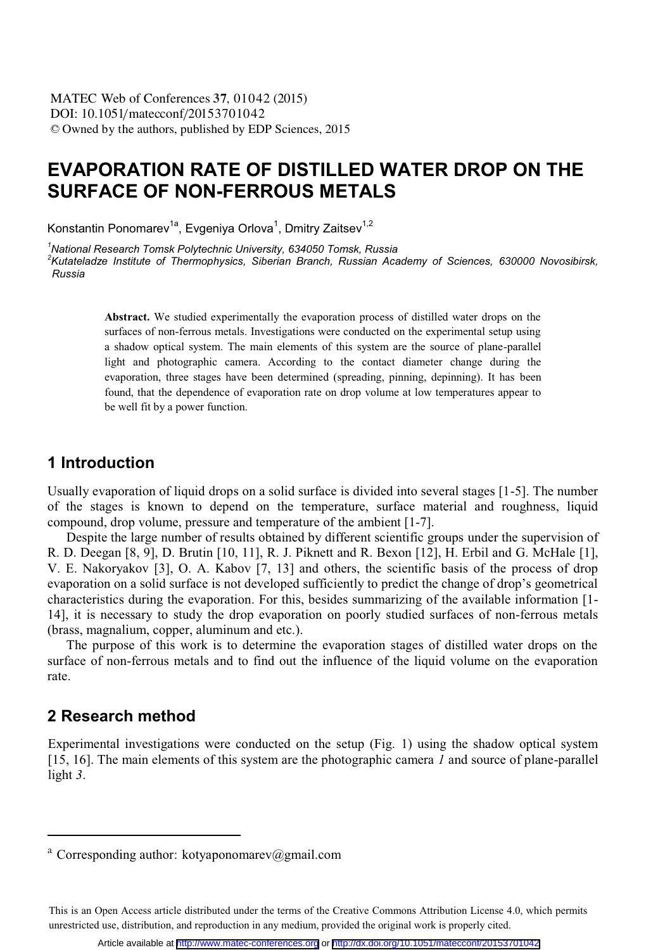# **EVAPORATION RATE OF DISTILLED WATER DROP ON THE SURFACE OF NON-FERROUS METALS**

Konstantin Ponomarevii, Evgeniya Orlovai, Dmitry Zaitsevii.<br>1

*1 National Research Tomsk Polytechnic University, 634050 Tomsk, Russia 2 Kutateladze Institute of Thermophysics, Siberian Branch, Russian Academy of Sciences, 630000 Novosibirsk, Russia*

**Abstract.** We studied experimentally the evaporation process of distilled water drops on the surfaces of non-ferrous metals. Investigations were conducted on the experimental setup using a shadow optical system. The main elements of this system are the source of plane-parallel light and photographic camera. According to the contact diameter change during the evaporation, three stages have been determined (spreading, pinning, depinning). It has been found, that the dependence of evaporation rate on drop volume at low temperatures appear to be well fit by a power function.

#### **1 Introduction**

Usually evaporation of liquid drops on a solid surface is divided into several stages [1-5]. The number of the stages is known to depend on the temperature, surface material and roughness, liquid compound, drop volume, pressure and temperature of the ambient [1-7].

Despite the large number of results obtained by different scientific groups under the supervision of R. D. Deegan [8, 9], D. Brutin [10, 11], R. J. Piknett and R. Bexon [12], H. Erbil and G. McHale [1], V. E. Nakoryakov [3], O. A. Kabov [7, 13] and others, the scientific basis of the process of drop evaporation on a solid surface is not developed sufficiently to predict the change of drop's geometrical characteristics during the evaporation. For this, besides summarizing of the available information [1- 14], it is necessary to study the drop evaporation on poorly studied surfaces of non-ferrous metals (brass, magnalium, copper, aluminum and etc.).

The purpose of this work is to determine the evaporation stages of distilled water drops on the surface of non-ferrous metals and to find out the influence of the liquid volume on the evaporation rate.

### **2 Research method**

 $\overline{a}$ 

Experimental investigations were conducted on the setup (Fig. 1) using the shadow optical system [15, 16]. The main elements of this system are the photographic camera *1* and source of plane-parallel light *3*.

<sup>&</sup>lt;sup>a</sup> Corresponding author: kotyaponomarev@gmail.com

This is an Open Access article distributed under the terms of the Creative Commons Attribution License 4.0, which permits unrestricted use, distribution, and reproduction in any medium, provided the original work is properly cited.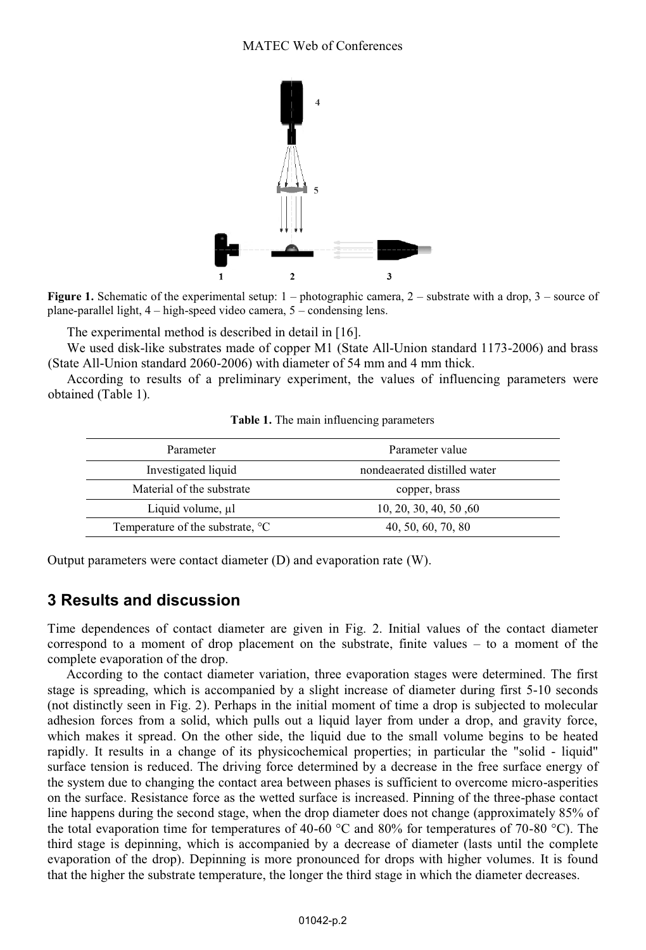

**Figure 1.** Schematic of the experimental setup: 1 – photographic camera, 2 – substrate with a drop, 3 – source of plane-parallel light, 4 – high-speed video camera, 5 – condensing lens.

The experimental method is described in detail in [16].

We used disk-like substrates made of copper M1 (State All-Union standard 1173-2006) and brass (State All-Union standard 2060-2006) with diameter of 54 mm and 4 mm thick.

According to results of a preliminary experiment, the values of influencing parameters were obtained (Table 1).

| Parameter                                    | Parameter value              |
|----------------------------------------------|------------------------------|
| Investigated liquid                          | nondeaerated distilled water |
| Material of the substrate                    | copper, brass                |
| Liquid volume, µl                            | 10, 20, 30, 40, 50, 60       |
| Temperature of the substrate, <sup>o</sup> C | 40, 50, 60, 70, 80           |
|                                              |                              |

**Table 1.** The main influencing parameters

Output parameters were contact diameter (D) and evaporation rate (W).

#### **3 Results and discussion**

Time dependences of contact diameter are given in Fig. 2. Initial values of the contact diameter correspond to a moment of drop placement on the substrate, finite values – to a moment of the complete evaporation of the drop.

According to the contact diameter variation, three evaporation stages were determined. The first stage is spreading, which is accompanied by a slight increase of diameter during first 5-10 seconds (not distinctly seen in Fig. 2). Perhaps in the initial moment of time a drop is subjected to molecular adhesion forces from a solid, which pulls out a liquid layer from under a drop, and gravity force, which makes it spread. On the other side, the liquid due to the small volume begins to be heated rapidly. It results in a change of its physicochemical properties; in particular the "solid - liquid" surface tension is reduced. The driving force determined by a decrease in the free surface energy of the system due to changing the contact area between phases is sufficient to overcome micro-asperities on the surface. Resistance force as the wetted surface is increased. Pinning of the three-phase contact line happens during the second stage, when the drop diameter does not change (approximately 85% of the total evaporation time for temperatures of 40-60  $^{\circ}$ C and 80% for temperatures of 70-80  $^{\circ}$ C). The third stage is depinning, which is accompanied by a decrease of diameter (lasts until the complete evaporation of the drop). Depinning is more pronounced for drops with higher volumes. It is found that the higher the substrate temperature, the longer the third stage in which the diameter decreases.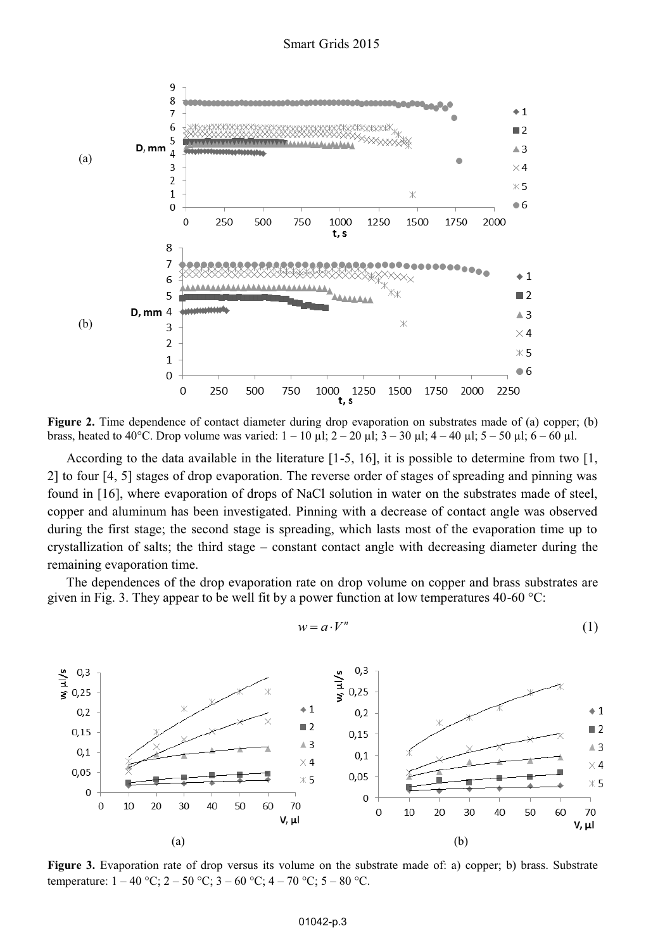

**Figure 2.** Time dependence of contact diameter during drop evaporation on substrates made of (a) copper; (b) brass, heated to 40°C. Drop volume was varied:  $1 - 10 \mu$ l;  $2 - 20 \mu$ l;  $3 - 30 \mu$ l;  $4 - 40 \mu$ l;  $5 - 50 \mu$ l;  $6 - 60 \mu$ l.

According to the data available in the literature [1-5, 16], it is possible to determine from two [1, 2] to four [4, 5] stages of drop evaporation. The reverse order of stages of spreading and pinning was found in [16], where evaporation of drops of NaCl solution in water on the substrates made of steel, copper and aluminum has been investigated. Pinning with a decrease of contact angle was observed during the first stage; the second stage is spreading, which lasts most of the evaporation time up to crystallization of salts; the third stage – constant contact angle with decreasing diameter during the remaining evaporation time.

The dependences of the drop evaporation rate on drop volume on copper and brass substrates are given in Fig. 3. They appear to be well fit by a power function at low temperatures 40-60 °С:

$$
w = a \cdot V^n \tag{1}
$$



**Figure 3.** Evaporation rate of drop versus its volume on the substrate made of: a) copper; b) brass. Substrate temperature:  $1 - 40$  °C;  $2 - 50$  °C;  $3 - 60$  °C;  $4 - 70$  °C;  $5 - 80$  °C.